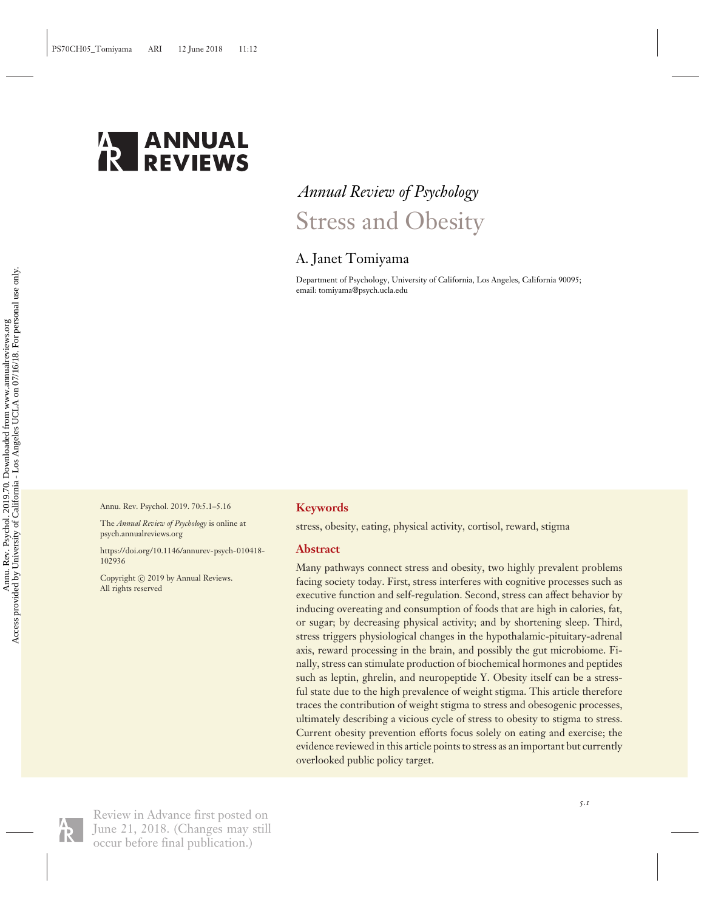

# *Annual Review of Psychology* Stress and Obesity

## A. Janet Tomiyama

Department of Psychology, University of California, Los Angeles, California 90095; email: tomiyama@psych.ucla.edu

Annu. Rev. Psychol. 2019. 70:5.1–5.16

The *Annual Review of Psychology* is online at psych.annualreviews.org

[https://doi.org/10.1146/annurev-psych-010418-](https://doi.org/10.1146/annurev-psych-010418-102936) [102936](https://doi.org/10.1146/annurev-psych-010418-102936)

Copyright © 2019 by Annual Reviews. All rights reserved

## **Keywords**

stress, obesity, eating, physical activity, cortisol, reward, stigma

## **Abstract**

Many pathways connect stress and obesity, two highly prevalent problems facing society today. First, stress interferes with cognitive processes such as executive function and self-regulation. Second, stress can affect behavior by inducing overeating and consumption of foods that are high in calories, fat, or sugar; by decreasing physical activity; and by shortening sleep. Third, stress triggers physiological changes in the hypothalamic-pituitary-adrenal axis, reward processing in the brain, and possibly the gut microbiome. Finally, stress can stimulate production of biochemical hormones and peptides such as leptin, ghrelin, and neuropeptide Y. Obesity itself can be a stressful state due to the high prevalence of weight stigma. This article therefore traces the contribution of weight stigma to stress and obesogenic processes, ultimately describing a vicious cycle of stress to obesity to stigma to stress. Current obesity prevention efforts focus solely on eating and exercise; the evidence reviewed in this article points to stress as an important but currently overlooked public policy target.



Review in Advance first posted on June 21, 2018. (Changes may still occur before final publication.)

*5.1*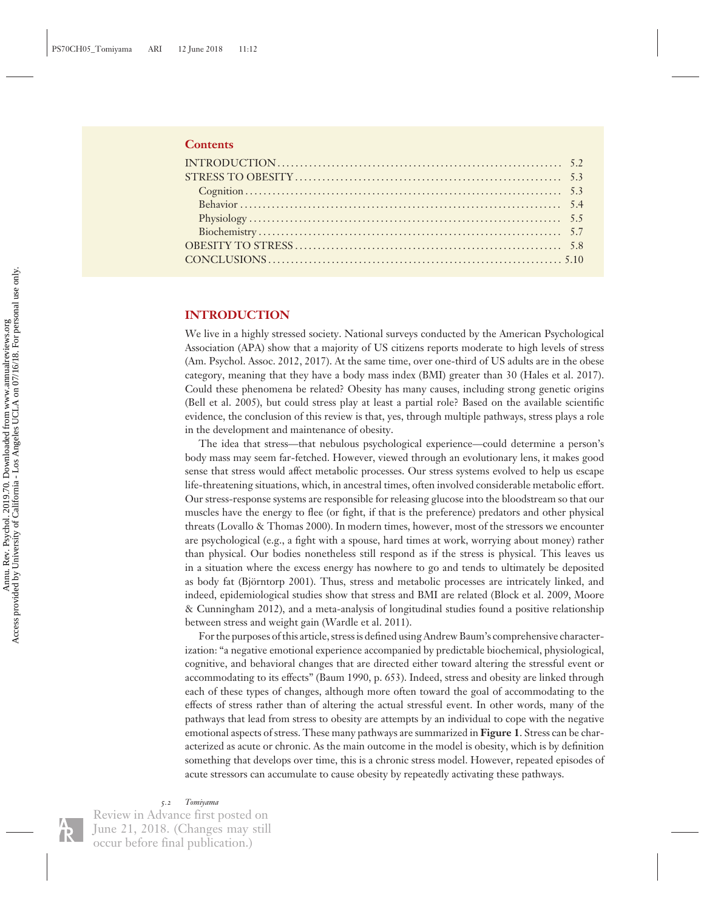#### **Contents**

## **INTRODUCTION**

We live in a highly stressed society. National surveys conducted by the American Psychological Association (APA) show that a majority of US citizens reports moderate to high levels of stress (Am. Psychol. Assoc. 2012, 2017). At the same time, over one-third of US adults are in the obese category, meaning that they have a body mass index (BMI) greater than 30 (Hales et al. 2017). Could these phenomena be related? Obesity has many causes, including strong genetic origins (Bell et al. 2005), but could stress play at least a partial role? Based on the available scientific evidence, the conclusion of this review is that, yes, through multiple pathways, stress plays a role in the development and maintenance of obesity.

The idea that stress—that nebulous psychological experience—could determine a person's body mass may seem far-fetched. However, viewed through an evolutionary lens, it makes good sense that stress would affect metabolic processes. Our stress systems evolved to help us escape life-threatening situations, which, in ancestral times, often involved considerable metabolic effort. Our stress-response systems are responsible for releasing glucose into the bloodstream so that our muscles have the energy to flee (or fight, if that is the preference) predators and other physical threats (Lovallo & Thomas 2000). In modern times, however, most of the stressors we encounter are psychological (e.g., a fight with a spouse, hard times at work, worrying about money) rather than physical. Our bodies nonetheless still respond as if the stress is physical. This leaves us in a situation where the excess energy has nowhere to go and tends to ultimately be deposited as body fat (Björntorp 2001). Thus, stress and metabolic processes are intricately linked, and indeed, epidemiological studies show that stress and BMI are related (Block et al. 2009, Moore & Cunningham 2012), and a meta-analysis of longitudinal studies found a positive relationship between stress and weight gain (Wardle et al. 2011).

For the purposes of this article, stress is defined using Andrew Baum's comprehensive characterization: "a negative emotional experience accompanied by predictable biochemical, physiological, cognitive, and behavioral changes that are directed either toward altering the stressful event or accommodating to its effects" (Baum 1990, p. 653). Indeed, stress and obesity are linked through each of these types of changes, although more often toward the goal of accommodating to the effects of stress rather than of altering the actual stressful event. In other words, many of the pathways that lead from stress to obesity are attempts by an individual to cope with the negative emotional aspects of stress. These many pathways are summarized in **Figure 1**. Stress can be characterized as acute or chronic. As the main outcome in the model is obesity, which is by definition something that develops over time, this is a chronic stress model. However, repeated episodes of acute stressors can accumulate to cause obesity by repeatedly activating these pathways.

*5.2 Tomiyama*

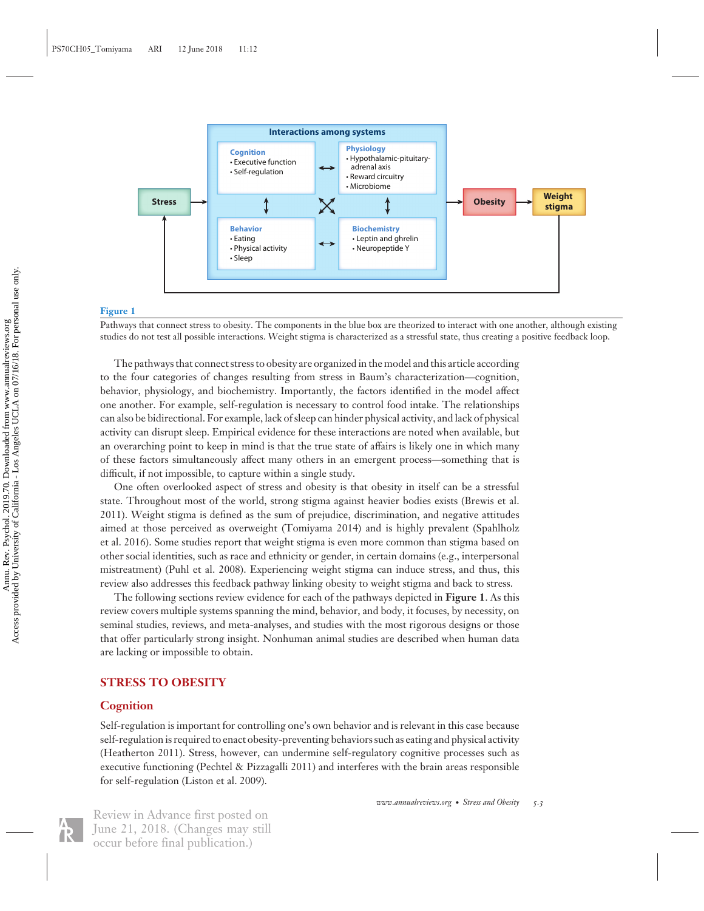

#### **Figure 1**

Pathways that connect stress to obesity. The components in the blue box are theorized to interact with one another, although existing studies do not test all possible interactions. Weight stigma is characterized as a stressful state, thus creating a positive feedback loop.

The pathways that connect stress to obesity are organized in the model and this article according to the four categories of changes resulting from stress in Baum's characterization—cognition, behavior, physiology, and biochemistry. Importantly, the factors identified in the model affect one another. For example, self-regulation is necessary to control food intake. The relationships can also be bidirectional. For example, lack of sleep can hinder physical activity, and lack of physical activity can disrupt sleep. Empirical evidence for these interactions are noted when available, but an overarching point to keep in mind is that the true state of affairs is likely one in which many of these factors simultaneously affect many others in an emergent process—something that is difficult, if not impossible, to capture within a single study.

One often overlooked aspect of stress and obesity is that obesity in itself can be a stressful state. Throughout most of the world, strong stigma against heavier bodies exists (Brewis et al. 2011). Weight stigma is defined as the sum of prejudice, discrimination, and negative attitudes aimed at those perceived as overweight (Tomiyama 2014) and is highly prevalent (Spahlholz et al. 2016). Some studies report that weight stigma is even more common than stigma based on other social identities, such as race and ethnicity or gender, in certain domains (e.g., interpersonal mistreatment) (Puhl et al. 2008). Experiencing weight stigma can induce stress, and thus, this review also addresses this feedback pathway linking obesity to weight stigma and back to stress.

The following sections review evidence for each of the pathways depicted in **Figure 1**. As this review covers multiple systems spanning the mind, behavior, and body, it focuses, by necessity, on seminal studies, reviews, and meta-analyses, and studies with the most rigorous designs or those that offer particularly strong insight. Nonhuman animal studies are described when human data are lacking or impossible to obtain.

## **STRESS TO OBESITY**

#### **Cognition**

Self-regulation is important for controlling one's own behavior and is relevant in this case because self-regulation is required to enact obesity-preventing behaviors such as eating and physical activity (Heatherton 2011). Stress, however, can undermine self-regulatory cognitive processes such as executive functioning (Pechtel & Pizzagalli 2011) and interferes with the brain areas responsible for self-regulation (Liston et al. 2009).

*www.annualreviews.org* • *Stress and Obesity 5.3*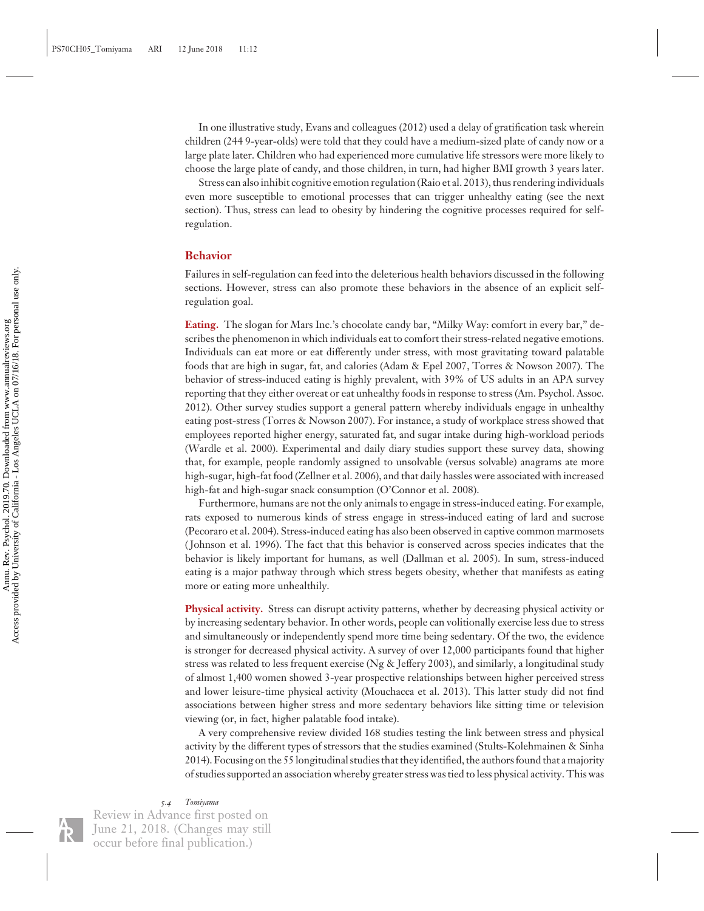In one illustrative study, Evans and colleagues (2012) used a delay of gratification task wherein children (244 9-year-olds) were told that they could have a medium-sized plate of candy now or a large plate later. Children who had experienced more cumulative life stressors were more likely to choose the large plate of candy, and those children, in turn, had higher BMI growth 3 years later.

Stress can also inhibit cognitive emotion regulation (Raio et al. 2013), thus rendering individuals even more susceptible to emotional processes that can trigger unhealthy eating (see the next section). Thus, stress can lead to obesity by hindering the cognitive processes required for selfregulation.

#### **Behavior**

Failures in self-regulation can feed into the deleterious health behaviors discussed in the following sections. However, stress can also promote these behaviors in the absence of an explicit selfregulation goal.

**Eating.** The slogan for Mars Inc.'s chocolate candy bar, "Milky Way: comfort in every bar," describes the phenomenon in which individuals eat to comfort their stress-related negative emotions. Individuals can eat more or eat differently under stress, with most gravitating toward palatable foods that are high in sugar, fat, and calories (Adam & Epel 2007, Torres & Nowson 2007). The behavior of stress-induced eating is highly prevalent, with 39% of US adults in an APA survey reporting that they either overeat or eat unhealthy foods in response to stress (Am. Psychol. Assoc. 2012). Other survey studies support a general pattern whereby individuals engage in unhealthy eating post-stress (Torres & Nowson 2007). For instance, a study of workplace stress showed that employees reported higher energy, saturated fat, and sugar intake during high-workload periods (Wardle et al. 2000). Experimental and daily diary studies support these survey data, showing that, for example, people randomly assigned to unsolvable (versus solvable) anagrams ate more high-sugar, high-fat food (Zellner et al. 2006), and that daily hassles were associated with increased high-fat and high-sugar snack consumption (O'Connor et al. 2008).

Furthermore, humans are not the only animals to engage in stress-induced eating. For example, rats exposed to numerous kinds of stress engage in stress-induced eating of lard and sucrose (Pecoraro et al. 2004). Stress-induced eating has also been observed in captive common marmosets ( Johnson et al. 1996). The fact that this behavior is conserved across species indicates that the behavior is likely important for humans, as well (Dallman et al. 2005). In sum, stress-induced eating is a major pathway through which stress begets obesity, whether that manifests as eating more or eating more unhealthily.

**Physical activity.** Stress can disrupt activity patterns, whether by decreasing physical activity or by increasing sedentary behavior. In other words, people can volitionally exercise less due to stress and simultaneously or independently spend more time being sedentary. Of the two, the evidence is stronger for decreased physical activity. A survey of over 12,000 participants found that higher stress was related to less frequent exercise (Ng & Jeffery 2003), and similarly, a longitudinal study of almost 1,400 women showed 3-year prospective relationships between higher perceived stress and lower leisure-time physical activity (Mouchacca et al. 2013). This latter study did not find associations between higher stress and more sedentary behaviors like sitting time or television viewing (or, in fact, higher palatable food intake).

A very comprehensive review divided 168 studies testing the link between stress and physical activity by the different types of stressors that the studies examined (Stults-Kolehmainen & Sinha 2014). Focusing on the 55 longitudinal studies that they identified, the authors found that a majority of studies supported an association whereby greater stress was tied to less physical activity. This was

*5.4 Tomiyama*

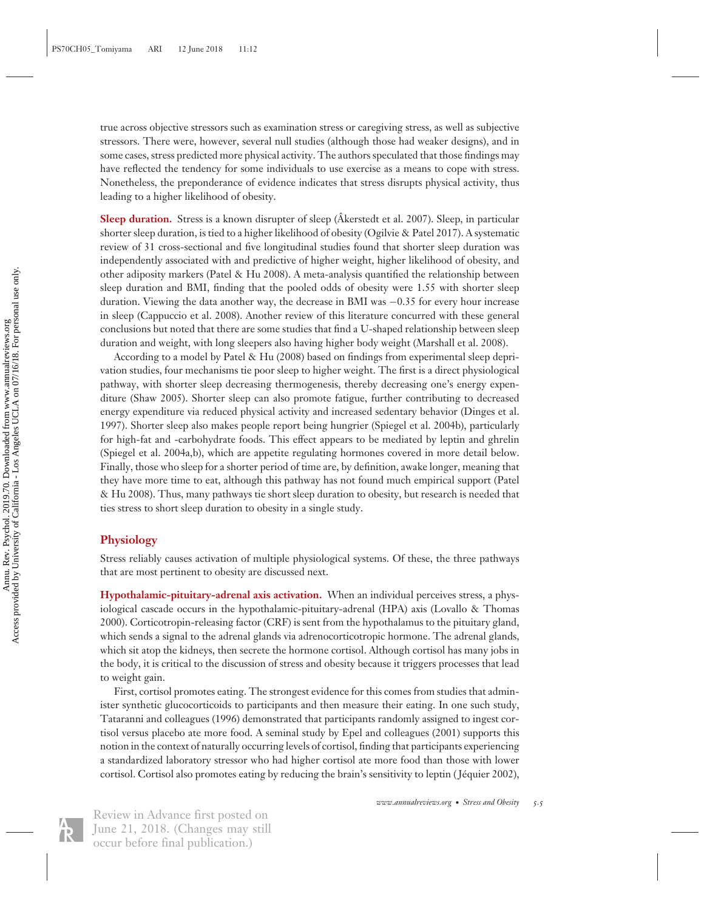true across objective stressors such as examination stress or caregiving stress, as well as subjective stressors. There were, however, several null studies (although those had weaker designs), and in some cases, stress predicted more physical activity. The authors speculated that those findings may have reflected the tendency for some individuals to use exercise as a means to cope with stress. Nonetheless, the preponderance of evidence indicates that stress disrupts physical activity, thus leading to a higher likelihood of obesity.

**Sleep duration.** Stress is a known disrupter of sleep (Akerstedt et al. 2007). Sleep, in particular shorter sleep duration, is tied to a higher likelihood of obesity (Ogilvie & Patel 2017). A systematic review of 31 cross-sectional and five longitudinal studies found that shorter sleep duration was independently associated with and predictive of higher weight, higher likelihood of obesity, and other adiposity markers (Patel & Hu 2008). A meta-analysis quantified the relationship between sleep duration and BMI, finding that the pooled odds of obesity were 1.55 with shorter sleep duration. Viewing the data another way, the decrease in BMI was −0.35 for every hour increase in sleep (Cappuccio et al. 2008). Another review of this literature concurred with these general conclusions but noted that there are some studies that find a U-shaped relationship between sleep duration and weight, with long sleepers also having higher body weight (Marshall et al. 2008).

According to a model by Patel & Hu (2008) based on findings from experimental sleep deprivation studies, four mechanisms tie poor sleep to higher weight. The first is a direct physiological pathway, with shorter sleep decreasing thermogenesis, thereby decreasing one's energy expenditure (Shaw 2005). Shorter sleep can also promote fatigue, further contributing to decreased energy expenditure via reduced physical activity and increased sedentary behavior (Dinges et al. 1997). Shorter sleep also makes people report being hungrier (Spiegel et al. 2004b), particularly for high-fat and -carbohydrate foods. This effect appears to be mediated by leptin and ghrelin (Spiegel et al. 2004a,b), which are appetite regulating hormones covered in more detail below. Finally, those who sleep for a shorter period of time are, by definition, awake longer, meaning that they have more time to eat, although this pathway has not found much empirical support (Patel & Hu 2008). Thus, many pathways tie short sleep duration to obesity, but research is needed that ties stress to short sleep duration to obesity in a single study.

#### **Physiology**

Stress reliably causes activation of multiple physiological systems. Of these, the three pathways that are most pertinent to obesity are discussed next.

**Hypothalamic-pituitary-adrenal axis activation.** When an individual perceives stress, a physiological cascade occurs in the hypothalamic-pituitary-adrenal (HPA) axis (Lovallo & Thomas 2000). Corticotropin-releasing factor (CRF) is sent from the hypothalamus to the pituitary gland, which sends a signal to the adrenal glands via adrenocorticotropic hormone. The adrenal glands, which sit atop the kidneys, then secrete the hormone cortisol. Although cortisol has many jobs in the body, it is critical to the discussion of stress and obesity because it triggers processes that lead to weight gain.

First, cortisol promotes eating. The strongest evidence for this comes from studies that administer synthetic glucocorticoids to participants and then measure their eating. In one such study, Tataranni and colleagues (1996) demonstrated that participants randomly assigned to ingest cortisol versus placebo ate more food. A seminal study by Epel and colleagues (2001) supports this notion in the context of naturally occurring levels of cortisol, finding that participants experiencing a standardized laboratory stressor who had higher cortisol ate more food than those with lower cortisol. Cortisol also promotes eating by reducing the brain's sensitivity to leptin (Jéquier 2002),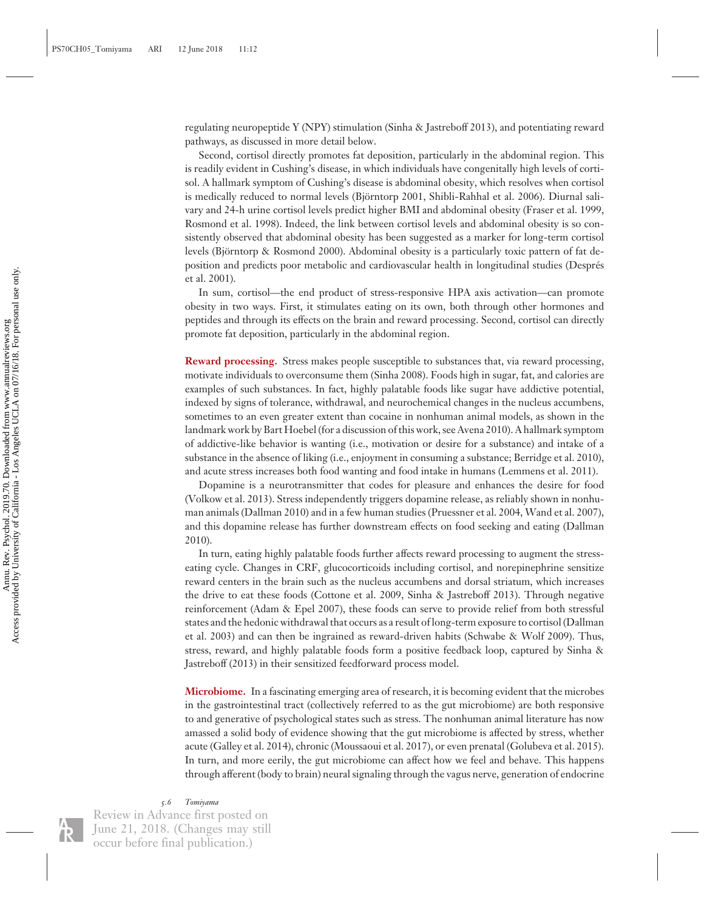regulating neuropeptide Y (NPY) stimulation (Sinha & Jastreboff 2013), and potentiating reward pathways, as discussed in more detail below.

Second, cortisol directly promotes fat deposition, particularly in the abdominal region. This is readily evident in Cushing's disease, in which individuals have congenitally high levels of cortisol. A hallmark symptom of Cushing's disease is abdominal obesity, which resolves when cortisol is medically reduced to normal levels (Björntorp 2001, Shibli-Rahhal et al. 2006). Diurnal salivary and 24-h urine cortisol levels predict higher BMI and abdominal obesity (Fraser et al. 1999, Rosmond et al. 1998). Indeed, the link between cortisol levels and abdominal obesity is so consistently observed that abdominal obesity has been suggested as a marker for long-term cortisol levels (Björntorp & Rosmond 2000). Abdominal obesity is a particularly toxic pattern of fat deposition and predicts poor metabolic and cardiovascular health in longitudinal studies (Despres´ et al. 2001).

In sum, cortisol—the end product of stress-responsive HPA axis activation—can promote obesity in two ways. First, it stimulates eating on its own, both through other hormones and peptides and through its effects on the brain and reward processing. Second, cortisol can directly promote fat deposition, particularly in the abdominal region.

**Reward processing.** Stress makes people susceptible to substances that, via reward processing, motivate individuals to overconsume them (Sinha 2008). Foods high in sugar, fat, and calories are examples of such substances. In fact, highly palatable foods like sugar have addictive potential, indexed by signs of tolerance, withdrawal, and neurochemical changes in the nucleus accumbens, sometimes to an even greater extent than cocaine in nonhuman animal models, as shown in the landmark work by Bart Hoebel (for a discussion of this work, see Avena 2010). A hallmark symptom of addictive-like behavior is wanting (i.e., motivation or desire for a substance) and intake of a substance in the absence of liking (i.e., enjoyment in consuming a substance; Berridge et al. 2010), and acute stress increases both food wanting and food intake in humans (Lemmens et al. 2011).

Dopamine is a neurotransmitter that codes for pleasure and enhances the desire for food (Volkow et al. 2013). Stress independently triggers dopamine release, as reliably shown in nonhuman animals (Dallman 2010) and in a few human studies (Pruessner et al. 2004, Wand et al. 2007), and this dopamine release has further downstream effects on food seeking and eating (Dallman 2010).

In turn, eating highly palatable foods further affects reward processing to augment the stresseating cycle. Changes in CRF, glucocorticoids including cortisol, and norepinephrine sensitize reward centers in the brain such as the nucleus accumbens and dorsal striatum, which increases the drive to eat these foods (Cottone et al. 2009, Sinha & Jastreboff 2013). Through negative reinforcement (Adam & Epel 2007), these foods can serve to provide relief from both stressful states and the hedonic withdrawal that occurs as a result of long-term exposure to cortisol (Dallman et al. 2003) and can then be ingrained as reward-driven habits (Schwabe & Wolf 2009). Thus, stress, reward, and highly palatable foods form a positive feedback loop, captured by Sinha & Jastreboff (2013) in their sensitized feedforward process model.

**Microbiome.** In a fascinating emerging area of research, it is becoming evident that the microbes in the gastrointestinal tract (collectively referred to as the gut microbiome) are both responsive to and generative of psychological states such as stress. The nonhuman animal literature has now amassed a solid body of evidence showing that the gut microbiome is affected by stress, whether acute (Galley et al. 2014), chronic (Moussaoui et al. 2017), or even prenatal (Golubeva et al. 2015). In turn, and more eerily, the gut microbiome can affect how we feel and behave. This happens through afferent (body to brain) neural signaling through the vagus nerve, generation of endocrine

*5.6 Tomiyama*

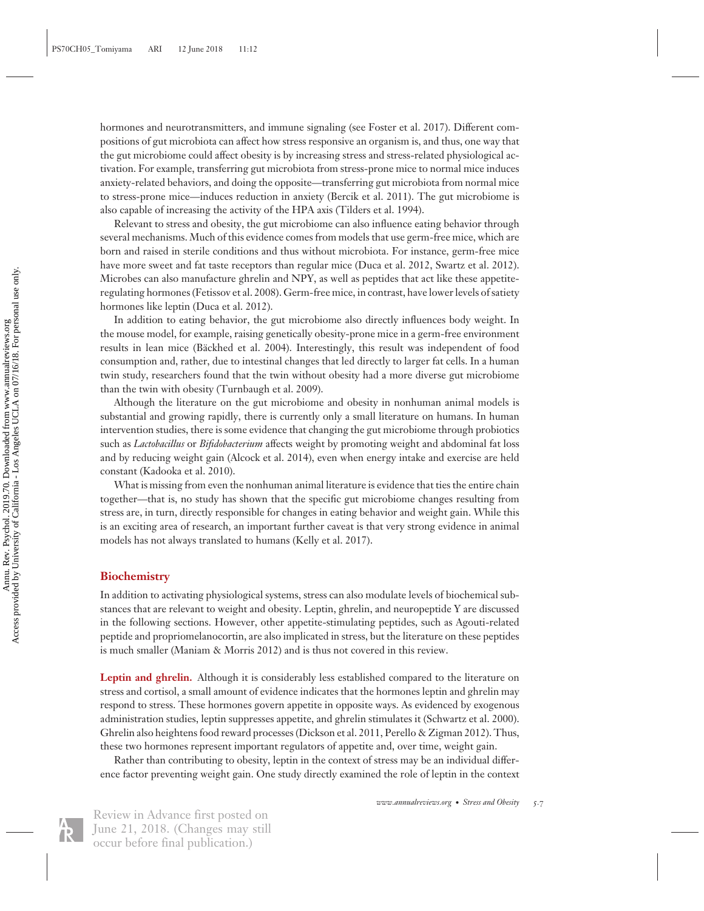hormones and neurotransmitters, and immune signaling (see Foster et al. 2017). Different compositions of gut microbiota can affect how stress responsive an organism is, and thus, one way that the gut microbiome could affect obesity is by increasing stress and stress-related physiological activation. For example, transferring gut microbiota from stress-prone mice to normal mice induces anxiety-related behaviors, and doing the opposite—transferring gut microbiota from normal mice to stress-prone mice—induces reduction in anxiety (Bercik et al. 2011). The gut microbiome is also capable of increasing the activity of the HPA axis (Tilders et al. 1994).

Relevant to stress and obesity, the gut microbiome can also influence eating behavior through several mechanisms. Much of this evidence comes from models that use germ-free mice, which are born and raised in sterile conditions and thus without microbiota. For instance, germ-free mice have more sweet and fat taste receptors than regular mice (Duca et al. 2012, Swartz et al. 2012). Microbes can also manufacture ghrelin and NPY, as well as peptides that act like these appetiteregulating hormones (Fetissov et al. 2008). Germ-free mice, in contrast, have lower levels of satiety hormones like leptin (Duca et al. 2012).

In addition to eating behavior, the gut microbiome also directly influences body weight. In the mouse model, for example, raising genetically obesity-prone mice in a germ-free environment results in lean mice (Bäckhed et al. 2004). Interestingly, this result was independent of food consumption and, rather, due to intestinal changes that led directly to larger fat cells. In a human twin study, researchers found that the twin without obesity had a more diverse gut microbiome than the twin with obesity (Turnbaugh et al. 2009).

Although the literature on the gut microbiome and obesity in nonhuman animal models is substantial and growing rapidly, there is currently only a small literature on humans. In human intervention studies, there is some evidence that changing the gut microbiome through probiotics such as *Lactobacillus* or *Bifidobacterium* affects weight by promoting weight and abdominal fat loss and by reducing weight gain (Alcock et al. 2014), even when energy intake and exercise are held constant (Kadooka et al. 2010).

What is missing from even the nonhuman animal literature is evidence that ties the entire chain together—that is, no study has shown that the specific gut microbiome changes resulting from stress are, in turn, directly responsible for changes in eating behavior and weight gain. While this is an exciting area of research, an important further caveat is that very strong evidence in animal models has not always translated to humans (Kelly et al. 2017).

#### **Biochemistry**

In addition to activating physiological systems, stress can also modulate levels of biochemical substances that are relevant to weight and obesity. Leptin, ghrelin, and neuropeptide Y are discussed in the following sections. However, other appetite-stimulating peptides, such as Agouti-related peptide and propriomelanocortin, are also implicated in stress, but the literature on these peptides is much smaller (Maniam & Morris 2012) and is thus not covered in this review.

**Leptin and ghrelin.** Although it is considerably less established compared to the literature on stress and cortisol, a small amount of evidence indicates that the hormones leptin and ghrelin may respond to stress. These hormones govern appetite in opposite ways. As evidenced by exogenous administration studies, leptin suppresses appetite, and ghrelin stimulates it (Schwartz et al. 2000). Ghrelin also heightens food reward processes (Dickson et al. 2011, Perello & Zigman 2012). Thus, these two hormones represent important regulators of appetite and, over time, weight gain.

Rather than contributing to obesity, leptin in the context of stress may be an individual difference factor preventing weight gain. One study directly examined the role of leptin in the context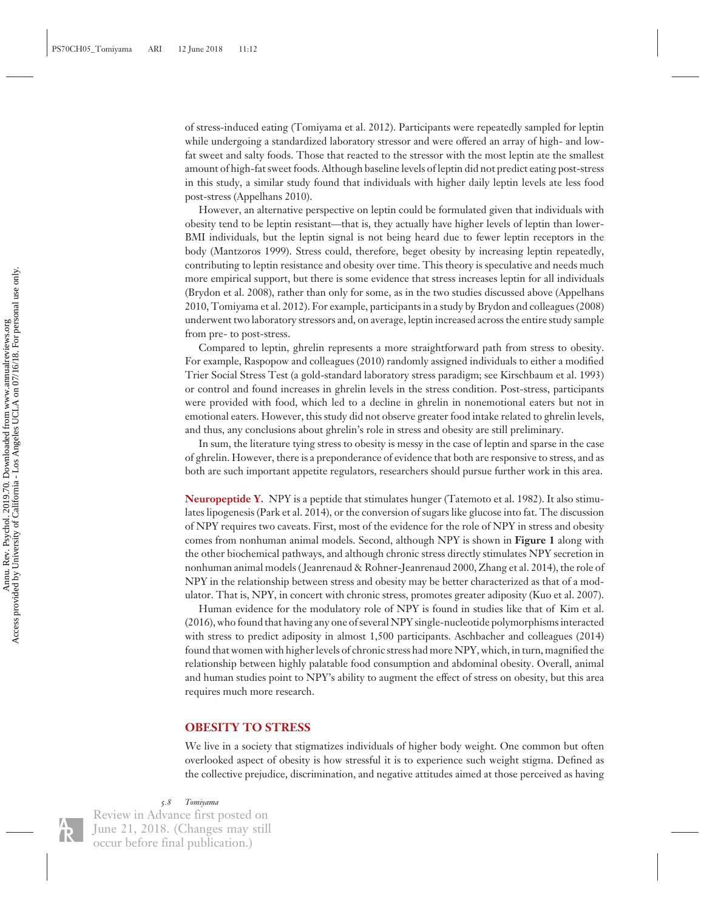of stress-induced eating (Tomiyama et al. 2012). Participants were repeatedly sampled for leptin while undergoing a standardized laboratory stressor and were offered an array of high- and lowfat sweet and salty foods. Those that reacted to the stressor with the most leptin ate the smallest amount of high-fat sweet foods. Although baseline levels of leptin did not predict eating post-stress in this study, a similar study found that individuals with higher daily leptin levels ate less food post-stress (Appelhans 2010).

However, an alternative perspective on leptin could be formulated given that individuals with obesity tend to be leptin resistant—that is, they actually have higher levels of leptin than lower-BMI individuals, but the leptin signal is not being heard due to fewer leptin receptors in the body (Mantzoros 1999). Stress could, therefore, beget obesity by increasing leptin repeatedly, contributing to leptin resistance and obesity over time. This theory is speculative and needs much more empirical support, but there is some evidence that stress increases leptin for all individuals (Brydon et al. 2008), rather than only for some, as in the two studies discussed above (Appelhans 2010, Tomiyama et al. 2012). For example, participants in a study by Brydon and colleagues (2008) underwent two laboratory stressors and, on average, leptin increased across the entire study sample from pre- to post-stress.

Compared to leptin, ghrelin represents a more straightforward path from stress to obesity. For example, Raspopow and colleagues (2010) randomly assigned individuals to either a modified Trier Social Stress Test (a gold-standard laboratory stress paradigm; see Kirschbaum et al. 1993) or control and found increases in ghrelin levels in the stress condition. Post-stress, participants were provided with food, which led to a decline in ghrelin in nonemotional eaters but not in emotional eaters. However, this study did not observe greater food intake related to ghrelin levels, and thus, any conclusions about ghrelin's role in stress and obesity are still preliminary.

In sum, the literature tying stress to obesity is messy in the case of leptin and sparse in the case of ghrelin. However, there is a preponderance of evidence that both are responsive to stress, and as both are such important appetite regulators, researchers should pursue further work in this area.

**Neuropeptide Y.** NPY is a peptide that stimulates hunger (Tatemoto et al. 1982). It also stimulates lipogenesis (Park et al. 2014), or the conversion of sugars like glucose into fat. The discussion of NPY requires two caveats. First, most of the evidence for the role of NPY in stress and obesity comes from nonhuman animal models. Second, although NPY is shown in **Figure 1** along with the other biochemical pathways, and although chronic stress directly stimulates NPY secretion in nonhuman animal models ( Jeanrenaud & Rohner-Jeanrenaud 2000, Zhang et al. 2014), the role of NPY in the relationship between stress and obesity may be better characterized as that of a modulator. That is, NPY, in concert with chronic stress, promotes greater adiposity (Kuo et al. 2007).

Human evidence for the modulatory role of NPY is found in studies like that of Kim et al. (2016), who found that having any one of several NPY single-nucleotide polymorphisms interacted with stress to predict adiposity in almost 1,500 participants. Aschbacher and colleagues (2014) found that women with higher levels of chronic stress had more NPY, which, in turn, magnified the relationship between highly palatable food consumption and abdominal obesity. Overall, animal and human studies point to NPY's ability to augment the effect of stress on obesity, but this area requires much more research.

#### **OBESITY TO STRESS**

We live in a society that stigmatizes individuals of higher body weight. One common but often overlooked aspect of obesity is how stressful it is to experience such weight stigma. Defined as the collective prejudice, discrimination, and negative attitudes aimed at those perceived as having

#### *5.8 Tomiyama*

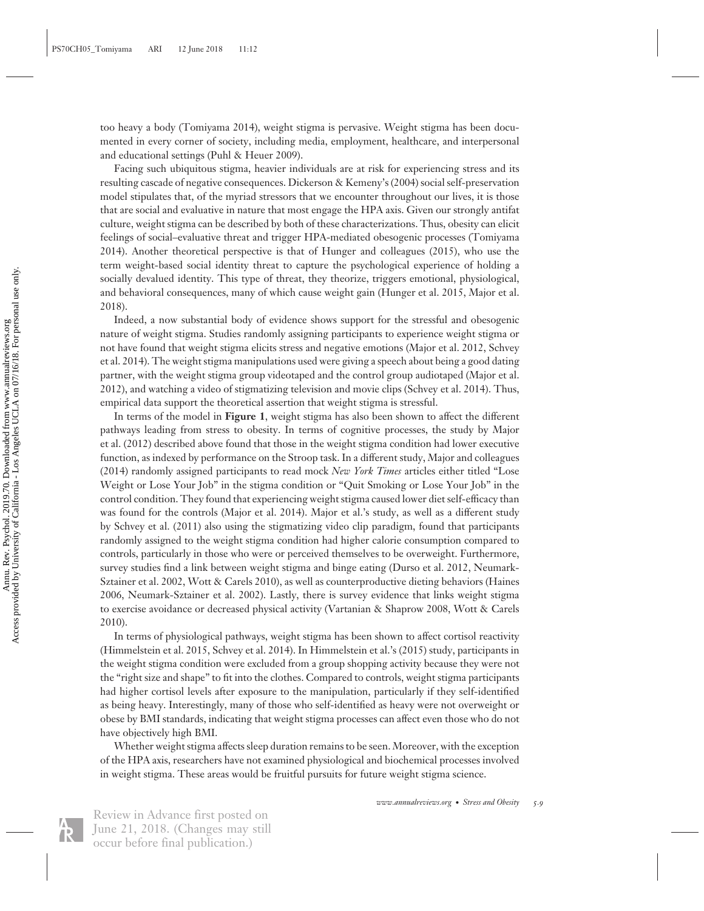too heavy a body (Tomiyama 2014), weight stigma is pervasive. Weight stigma has been documented in every corner of society, including media, employment, healthcare, and interpersonal and educational settings (Puhl & Heuer 2009).

Facing such ubiquitous stigma, heavier individuals are at risk for experiencing stress and its resulting cascade of negative consequences. Dickerson & Kemeny's (2004) social self-preservation model stipulates that, of the myriad stressors that we encounter throughout our lives, it is those that are social and evaluative in nature that most engage the HPA axis. Given our strongly antifat culture, weight stigma can be described by both of these characterizations. Thus, obesity can elicit feelings of social–evaluative threat and trigger HPA-mediated obesogenic processes (Tomiyama 2014). Another theoretical perspective is that of Hunger and colleagues (2015), who use the term weight-based social identity threat to capture the psychological experience of holding a socially devalued identity. This type of threat, they theorize, triggers emotional, physiological, and behavioral consequences, many of which cause weight gain (Hunger et al. 2015, Major et al. 2018).

Indeed, a now substantial body of evidence shows support for the stressful and obesogenic nature of weight stigma. Studies randomly assigning participants to experience weight stigma or not have found that weight stigma elicits stress and negative emotions (Major et al. 2012, Schvey et al. 2014). The weight stigma manipulations used were giving a speech about being a good dating partner, with the weight stigma group videotaped and the control group audiotaped (Major et al. 2012), and watching a video of stigmatizing television and movie clips (Schvey et al. 2014). Thus, empirical data support the theoretical assertion that weight stigma is stressful.

In terms of the model in **Figure 1**, weight stigma has also been shown to affect the different pathways leading from stress to obesity. In terms of cognitive processes, the study by Major et al. (2012) described above found that those in the weight stigma condition had lower executive function, as indexed by performance on the Stroop task. In a different study, Major and colleagues (2014) randomly assigned participants to read mock *New York Times* articles either titled "Lose Weight or Lose Your Job" in the stigma condition or "Quit Smoking or Lose Your Job" in the control condition. They found that experiencing weight stigma caused lower diet self-efficacy than was found for the controls (Major et al. 2014). Major et al.'s study, as well as a different study by Schvey et al. (2011) also using the stigmatizing video clip paradigm, found that participants randomly assigned to the weight stigma condition had higher calorie consumption compared to controls, particularly in those who were or perceived themselves to be overweight. Furthermore, survey studies find a link between weight stigma and binge eating (Durso et al. 2012, Neumark-Sztainer et al. 2002, Wott & Carels 2010), as well as counterproductive dieting behaviors (Haines 2006, Neumark-Sztainer et al. 2002). Lastly, there is survey evidence that links weight stigma to exercise avoidance or decreased physical activity (Vartanian & Shaprow 2008, Wott & Carels 2010).

In terms of physiological pathways, weight stigma has been shown to affect cortisol reactivity (Himmelstein et al. 2015, Schvey et al. 2014). In Himmelstein et al.'s (2015) study, participants in the weight stigma condition were excluded from a group shopping activity because they were not the "right size and shape" to fit into the clothes. Compared to controls, weight stigma participants had higher cortisol levels after exposure to the manipulation, particularly if they self-identified as being heavy. Interestingly, many of those who self-identified as heavy were not overweight or obese by BMI standards, indicating that weight stigma processes can affect even those who do not have objectively high BMI.

Whether weight stigma affects sleep duration remains to be seen. Moreover, with the exception of the HPA axis, researchers have not examined physiological and biochemical processes involved in weight stigma. These areas would be fruitful pursuits for future weight stigma science.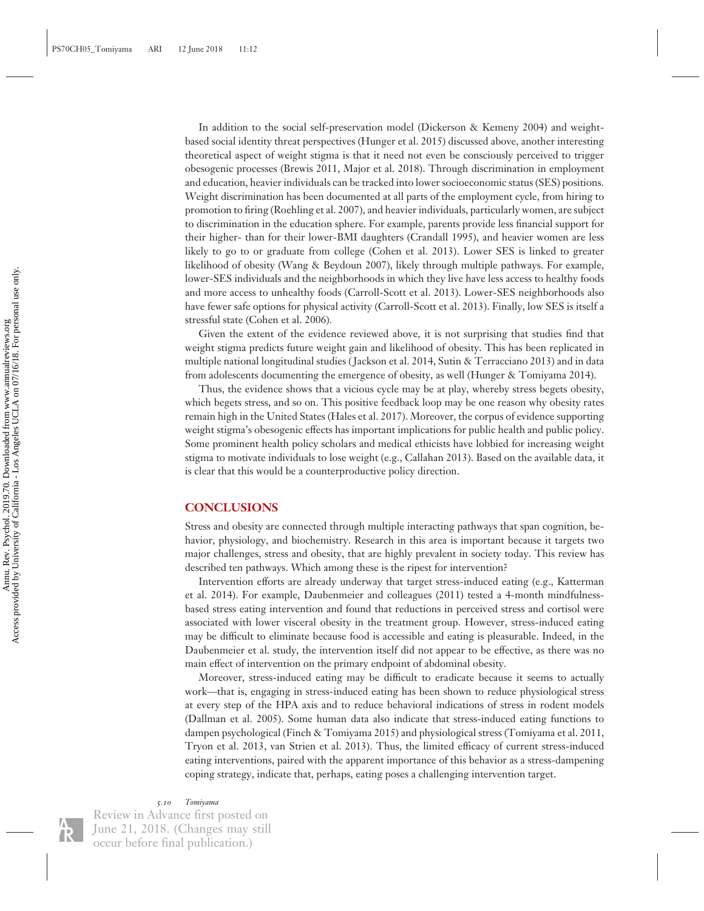In addition to the social self-preservation model (Dickerson & Kemeny 2004) and weightbased social identity threat perspectives (Hunger et al. 2015) discussed above, another interesting theoretical aspect of weight stigma is that it need not even be consciously perceived to trigger obesogenic processes (Brewis 2011, Major et al. 2018). Through discrimination in employment and education, heavier individuals can be tracked into lower socioeconomic status (SES) positions. Weight discrimination has been documented at all parts of the employment cycle, from hiring to promotion to firing (Roehling et al. 2007), and heavier individuals, particularly women, are subject to discrimination in the education sphere. For example, parents provide less financial support for their higher- than for their lower-BMI daughters (Crandall 1995), and heavier women are less likely to go to or graduate from college (Cohen et al. 2013). Lower SES is linked to greater likelihood of obesity (Wang & Beydoun 2007), likely through multiple pathways. For example, lower-SES individuals and the neighborhoods in which they live have less access to healthy foods and more access to unhealthy foods (Carroll-Scott et al. 2013). Lower-SES neighborhoods also have fewer safe options for physical activity (Carroll-Scott et al. 2013). Finally, low SES is itself a stressful state (Cohen et al. 2006).

Given the extent of the evidence reviewed above, it is not surprising that studies find that weight stigma predicts future weight gain and likelihood of obesity. This has been replicated in multiple national longitudinal studies ( Jackson et al. 2014, Sutin & Terracciano 2013) and in data from adolescents documenting the emergence of obesity, as well (Hunger & Tomiyama 2014).

Thus, the evidence shows that a vicious cycle may be at play, whereby stress begets obesity, which begets stress, and so on. This positive feedback loop may be one reason why obesity rates remain high in the United States (Hales et al. 2017). Moreover, the corpus of evidence supporting weight stigma's obesogenic effects has important implications for public health and public policy. Some prominent health policy scholars and medical ethicists have lobbied for increasing weight stigma to motivate individuals to lose weight (e.g., Callahan 2013). Based on the available data, it is clear that this would be a counterproductive policy direction.

## **CONCLUSIONS**

Stress and obesity are connected through multiple interacting pathways that span cognition, behavior, physiology, and biochemistry. Research in this area is important because it targets two major challenges, stress and obesity, that are highly prevalent in society today. This review has described ten pathways. Which among these is the ripest for intervention?

Intervention efforts are already underway that target stress-induced eating (e.g., Katterman et al. 2014). For example, Daubenmeier and colleagues (2011) tested a 4-month mindfulnessbased stress eating intervention and found that reductions in perceived stress and cortisol were associated with lower visceral obesity in the treatment group. However, stress-induced eating may be difficult to eliminate because food is accessible and eating is pleasurable. Indeed, in the Daubenmeier et al. study, the intervention itself did not appear to be effective, as there was no main effect of intervention on the primary endpoint of abdominal obesity.

Moreover, stress-induced eating may be difficult to eradicate because it seems to actually work—that is, engaging in stress-induced eating has been shown to reduce physiological stress at every step of the HPA axis and to reduce behavioral indications of stress in rodent models (Dallman et al. 2005). Some human data also indicate that stress-induced eating functions to dampen psychological (Finch & Tomiyama 2015) and physiological stress (Tomiyama et al. 2011, Tryon et al. 2013, van Strien et al. 2013). Thus, the limited efficacy of current stress-induced eating interventions, paired with the apparent importance of this behavior as a stress-dampening coping strategy, indicate that, perhaps, eating poses a challenging intervention target.

## *5.10 Tomiyama*

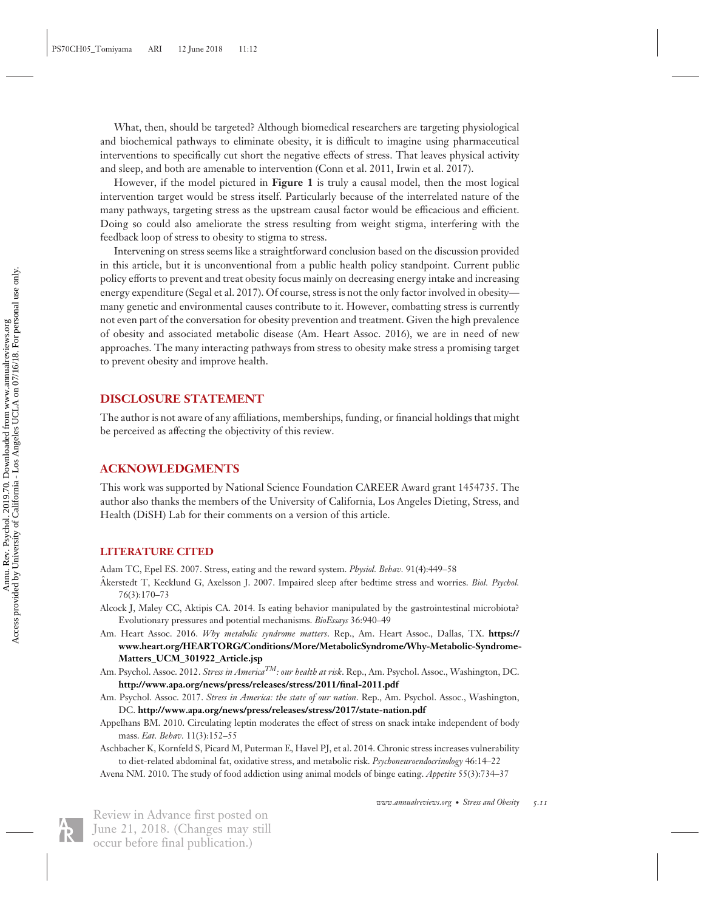What, then, should be targeted? Although biomedical researchers are targeting physiological and biochemical pathways to eliminate obesity, it is difficult to imagine using pharmaceutical interventions to specifically cut short the negative effects of stress. That leaves physical activity and sleep, and both are amenable to intervention (Conn et al. 2011, Irwin et al. 2017).

However, if the model pictured in **Figure 1** is truly a causal model, then the most logical intervention target would be stress itself. Particularly because of the interrelated nature of the many pathways, targeting stress as the upstream causal factor would be efficacious and efficient. Doing so could also ameliorate the stress resulting from weight stigma, interfering with the feedback loop of stress to obesity to stigma to stress.

Intervening on stress seems like a straightforward conclusion based on the discussion provided in this article, but it is unconventional from a public health policy standpoint. Current public policy efforts to prevent and treat obesity focus mainly on decreasing energy intake and increasing energy expenditure (Segal et al. 2017). Of course, stress is not the only factor involved in obesity many genetic and environmental causes contribute to it. However, combatting stress is currently not even part of the conversation for obesity prevention and treatment. Given the high prevalence of obesity and associated metabolic disease (Am. Heart Assoc. 2016), we are in need of new approaches. The many interacting pathways from stress to obesity make stress a promising target to prevent obesity and improve health.

## **DISCLOSURE STATEMENT**

The author is not aware of any affiliations, memberships, funding, or financial holdings that might be perceived as affecting the objectivity of this review.

## **ACKNOWLEDGMENTS**

This work was supported by National Science Foundation CAREER Award grant 1454735. The author also thanks the members of the University of California, Los Angeles Dieting, Stress, and Health (DiSH) Lab for their comments on a version of this article.

#### **LITERATURE CITED**

Adam TC, Epel ES. 2007. Stress, eating and the reward system. *Physiol. Behav.* 91(4):449–58

- Akerstedt T, Kecklund G, Axelsson J. 2007. Impaired sleep after bedtime stress and worries. Biol. Psychol. 76(3):170–73
- Alcock J, Maley CC, Aktipis CA. 2014. Is eating behavior manipulated by the gastrointestinal microbiota? Evolutionary pressures and potential mechanisms. *BioEssays* 36:940–49
- Am. Heart Assoc. 2016. *Why metabolic syndrome matters*. Rep., Am. Heart Assoc., Dallas, TX. **[https://](https://www.heart.org/HEARTORG/Conditions/More/MetabolicSyndrome/Why-Metabolic-Syndrome-Matters_UCM_301922_Article.jsp) [www.heart.org/HEARTORG/Conditions/More/MetabolicSyndrome/Why-Metabolic-Syndrome-](https://www.heart.org/HEARTORG/Conditions/More/MetabolicSyndrome/Why-Metabolic-Syndrome-Matters_UCM_301922_Article.jsp)[Matters\\_UCM\\_301922\\_Article.jsp](https://www.heart.org/HEARTORG/Conditions/More/MetabolicSyndrome/Why-Metabolic-Syndrome-Matters_UCM_301922_Article.jsp)**
- Am. Psychol. Assoc. 2012. *Stress in AmericaTM: our health at risk*. Rep., Am. Psychol. Assoc., Washington, DC. **<http://www.apa.org/news/press/releases/stress/2011/final-2011.pdf>**
- Am. Psychol. Assoc. 2017. *Stress in America: the state of our nation*. Rep., Am. Psychol. Assoc., Washington, DC. **<http://www.apa.org/news/press/releases/stress/2017/state-nation.pdf>**
- Appelhans BM. 2010. Circulating leptin moderates the effect of stress on snack intake independent of body mass. *Eat. Behav.* 11(3):152–55
- Aschbacher K, Kornfeld S, Picard M, Puterman E, Havel PJ, et al. 2014. Chronic stress increases vulnerability to diet-related abdominal fat, oxidative stress, and metabolic risk. *Psychoneuroendocrinology* 46:14–22

Avena NM. 2010. The study of food addiction using animal models of binge eating. *Appetite* 55(3):734–37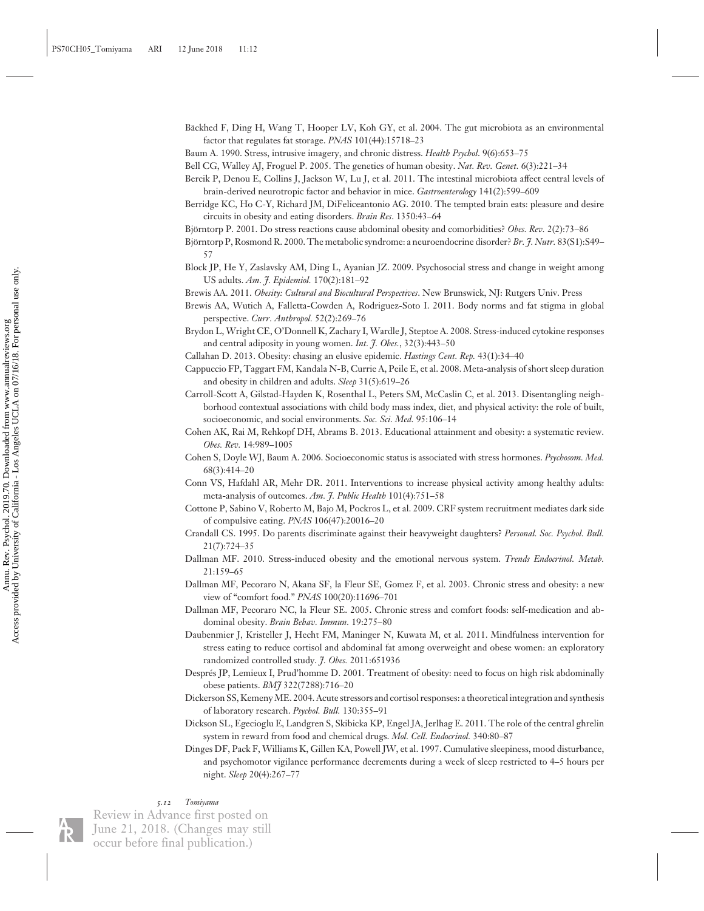Bäckhed F, Ding H, Wang T, Hooper LV, Koh GY, et al. 2004. The gut microbiota as an environmental factor that regulates fat storage. *PNAS* 101(44):15718–23

Baum A. 1990. Stress, intrusive imagery, and chronic distress. *Health Psychol*. 9(6):653–75

Bell CG, Walley AJ, Froguel P. 2005. The genetics of human obesity. *Nat. Rev. Genet.* 6(3):221–34

Bercik P, Denou E, Collins J, Jackson W, Lu J, et al. 2011. The intestinal microbiota affect central levels of brain-derived neurotropic factor and behavior in mice. *Gastroenterology* 141(2):599–609

- Berridge KC, Ho C-Y, Richard JM, DiFeliceantonio AG. 2010. The tempted brain eats: pleasure and desire circuits in obesity and eating disorders. *Brain Res*. 1350:43–64
- Björntorp P. 2001. Do stress reactions cause abdominal obesity and comorbidities? Obes. Rev. 2(2):73–86
- Björntorp P, Rosmond R. 2000. The metabolic syndrome: a neuroendocrine disorder? *Br. J. Nutr.* 83(S1):S49– 57
- Block JP, He Y, Zaslavsky AM, Ding L, Ayanian JZ. 2009. Psychosocial stress and change in weight among US adults. *Am. J. Epidemiol.* 170(2):181–92

Brewis AA. 2011. *Obesity: Cultural and Biocultural Perspectives*. New Brunswick, NJ: Rutgers Univ. Press

Brewis AA, Wutich A, Falletta-Cowden A, Rodriguez-Soto I. 2011. Body norms and fat stigma in global perspective. *Curr. Anthropol.* 52(2):269–76

Brydon L, Wright CE, O'Donnell K, Zachary I, Wardle J, Steptoe A. 2008. Stress-induced cytokine responses and central adiposity in young women. *Int. J. Obes.*, 32(3):443–50

Callahan D. 2013. Obesity: chasing an elusive epidemic. *Hastings Cent. Rep.* 43(1):34–40

- Cappuccio FP, Taggart FM, Kandala N-B, Currie A, Peile E, et al. 2008. Meta-analysis of short sleep duration and obesity in children and adults. *Sleep* 31(5):619–26
- Carroll-Scott A, Gilstad-Hayden K, Rosenthal L, Peters SM, McCaslin C, et al. 2013. Disentangling neighborhood contextual associations with child body mass index, diet, and physical activity: the role of built, socioeconomic, and social environments. *Soc. Sci. Med.* 95:106–14
- Cohen AK, Rai M, Rehkopf DH, Abrams B. 2013. Educational attainment and obesity: a systematic review. *Obes. Rev.* 14:989–1005
- Cohen S, Doyle WJ, Baum A. 2006. Socioeconomic status is associated with stress hormones. *Psychosom. Med.* 68(3):414–20
- Conn VS, Hafdahl AR, Mehr DR. 2011. Interventions to increase physical activity among healthy adults: meta-analysis of outcomes. *Am. J. Public Health* 101(4):751–58
- Cottone P, Sabino V, Roberto M, Bajo M, Pockros L, et al. 2009. CRF system recruitment mediates dark side of compulsive eating. *PNAS* 106(47):20016–20
- Crandall CS. 1995. Do parents discriminate against their heavyweight daughters? *Personal. Soc. Psychol. Bull.* 21(7):724–35
- Dallman MF. 2010. Stress-induced obesity and the emotional nervous system. *Trends Endocrinol. Metab.* 21:159–65
- Dallman MF, Pecoraro N, Akana SF, la Fleur SE, Gomez F, et al. 2003. Chronic stress and obesity: a new view of "comfort food." *PNAS* 100(20):11696–701
- Dallman MF, Pecoraro NC, la Fleur SE. 2005. Chronic stress and comfort foods: self-medication and abdominal obesity. *Brain Behav. Immun.* 19:275–80
- Daubenmier J, Kristeller J, Hecht FM, Maninger N, Kuwata M, et al. 2011. Mindfulness intervention for stress eating to reduce cortisol and abdominal fat among overweight and obese women: an exploratory randomized controlled study. *J. Obes.* 2011:651936
- Despres JP, Lemieux I, Prud'homme D. 2001. Treatment of obesity: need to focus on high risk abdominally ´ obese patients. *BMJ* 322(7288):716–20
- Dickerson SS, KemenyME. 2004. Acute stressors and cortisol responses: a theoretical integration and synthesis of laboratory research. *Psychol. Bull.* 130:355–91
- Dickson SL, Egecioglu E, Landgren S, Skibicka KP, Engel JA, Jerlhag E. 2011. The role of the central ghrelin system in reward from food and chemical drugs. *Mol. Cell. Endocrinol.* 340:80–87
- Dinges DF, Pack F, Williams K, Gillen KA, Powell JW, et al. 1997. Cumulative sleepiness, mood disturbance, and psychomotor vigilance performance decrements during a week of sleep restricted to 4–5 hours per night. *Sleep* 20(4):267–77

## *5.12 Tomiyama*

Review in Advance first posted on June 21, 2018. (Changes may still

occur before final publication.)

 Access provided by University of California - Los Angeles UCLA on 07/16/18. For personal use only. Annu. Rev. Psychol. 2019.70. Downloaded from www.annualreviews.org<br>Access provided by University of California - Los Angeles UCLA on 07/16/18. For personal use only. Annu. Rev. Psychol. 2019.70. Downloaded from www.annualreviews.org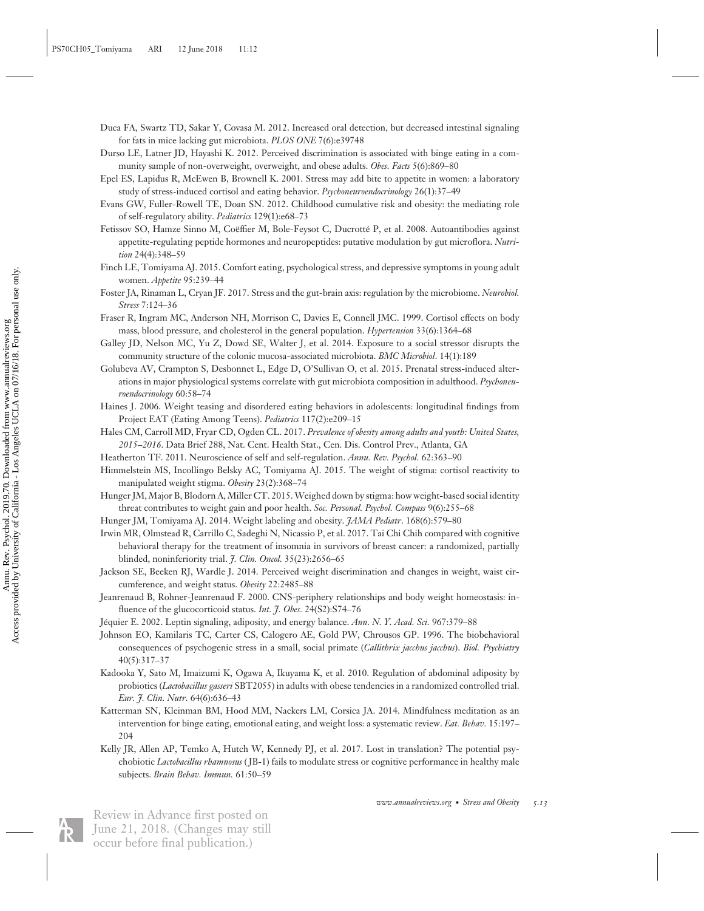- Duca FA, Swartz TD, Sakar Y, Covasa M. 2012. Increased oral detection, but decreased intestinal signaling for fats in mice lacking gut microbiota. *PLOS ONE* 7(6):e39748
- Durso LE, Latner JD, Hayashi K. 2012. Perceived discrimination is associated with binge eating in a community sample of non-overweight, overweight, and obese adults. *Obes. Facts* 5(6):869–80
- Epel ES, Lapidus R, McEwen B, Brownell K. 2001. Stress may add bite to appetite in women: a laboratory study of stress-induced cortisol and eating behavior. *Psychoneuroendocrinology* 26(1):37–49
- Evans GW, Fuller-Rowell TE, Doan SN. 2012. Childhood cumulative risk and obesity: the mediating role of self-regulatory ability. *Pediatrics* 129(1):e68–73
- Fetissov SO, Hamze Sinno M, Coëffier M, Bole-Feysot C, Ducrotté P, et al. 2008. Autoantibodies against appetite-regulating peptide hormones and neuropeptides: putative modulation by gut microflora. *Nutrition* 24(4):348–59
- Finch LE, Tomiyama AJ. 2015. Comfort eating, psychological stress, and depressive symptoms in young adult women. *Appetite* 95:239–44
- Foster JA, Rinaman L, Cryan JF. 2017. Stress and the gut-brain axis: regulation by the microbiome. *Neurobiol. Stress* 7:124–36
- Fraser R, Ingram MC, Anderson NH, Morrison C, Davies E, Connell JMC. 1999. Cortisol effects on body mass, blood pressure, and cholesterol in the general population. *Hypertension* 33(6):1364–68
- Galley JD, Nelson MC, Yu Z, Dowd SE, Walter J, et al. 2014. Exposure to a social stressor disrupts the community structure of the colonic mucosa-associated microbiota. *BMC Microbiol*. 14(1):189
- Golubeva AV, Crampton S, Desbonnet L, Edge D, O'Sullivan O, et al. 2015. Prenatal stress-induced alterations in major physiological systems correlate with gut microbiota composition in adulthood. *Psychoneuroendocrinology* 60:58–74
- Haines J. 2006. Weight teasing and disordered eating behaviors in adolescents: longitudinal findings from Project EAT (Eating Among Teens). *Pediatrics* 117(2):e209–15
- Hales CM, Carroll MD, Fryar CD, Ogden CL. 2017. *Prevalence of obesity among adults and youth: United States, 2015–2016*. Data Brief 288, Nat. Cent. Health Stat., Cen. Dis. Control Prev., Atlanta, GA
- Heatherton TF. 2011. Neuroscience of self and self-regulation. *Annu. Rev. Psychol.* 62:363–90
- Himmelstein MS, Incollingo Belsky AC, Tomiyama AJ. 2015. The weight of stigma: cortisol reactivity to manipulated weight stigma. *Obesity* 23(2):368–74
- Hunger JM, Major B, Blodorn A, Miller CT. 2015.Weighed down by stigma: how weight-based social identity threat contributes to weight gain and poor health. *Soc. Personal. Psychol. Compass* 9(6):255–68
- Hunger JM, Tomiyama AJ. 2014. Weight labeling and obesity. *JAMA Pediatr*. 168(6):579–80
- Irwin MR, Olmstead R, Carrillo C, Sadeghi N, Nicassio P, et al. 2017. Tai Chi Chih compared with cognitive behavioral therapy for the treatment of insomnia in survivors of breast cancer: a randomized, partially blinded, noninferiority trial. *J. Clin. Oncol.* 35(23):2656–65
- Jackson SE, Beeken RJ, Wardle J. 2014. Perceived weight discrimination and changes in weight, waist circumference, and weight status. *Obesity* 22:2485–88
- Jeanrenaud B, Rohner-Jeanrenaud F. 2000. CNS-periphery relationships and body weight homeostasis: influence of the glucocorticoid status. *Int. J. Obes.* 24(S2):S74–76
- Jéquier E. 2002. Leptin signaling, adiposity, and energy balance. *Ann. N. Y. Acad. Sci.* 967:379–88
- Johnson EO, Kamilaris TC, Carter CS, Calogero AE, Gold PW, Chrousos GP. 1996. The biobehavioral consequences of psychogenic stress in a small, social primate (*Callithrix jacchus jacchus*). *Biol. Psychiatry* 40(5):317–37
- Kadooka Y, Sato M, Imaizumi K, Ogawa A, Ikuyama K, et al. 2010. Regulation of abdominal adiposity by probiotics (*Lactobacillus gasseri* SBT2055) in adults with obese tendencies in a randomized controlled trial. *Eur. J. Clin. Nutr.* 64(6):636–43
- Katterman SN, Kleinman BM, Hood MM, Nackers LM, Corsica JA. 2014. Mindfulness meditation as an intervention for binge eating, emotional eating, and weight loss: a systematic review. *Eat. Behav.* 15:197– 204
- Kelly JR, Allen AP, Temko A, Hutch W, Kennedy PJ, et al. 2017. Lost in translation? The potential psychobiotic *Lactobacillus rhamnosus* ( JB-1) fails to modulate stress or cognitive performance in healthy male subjects. *Brain Behav. Immun.* 61:50–59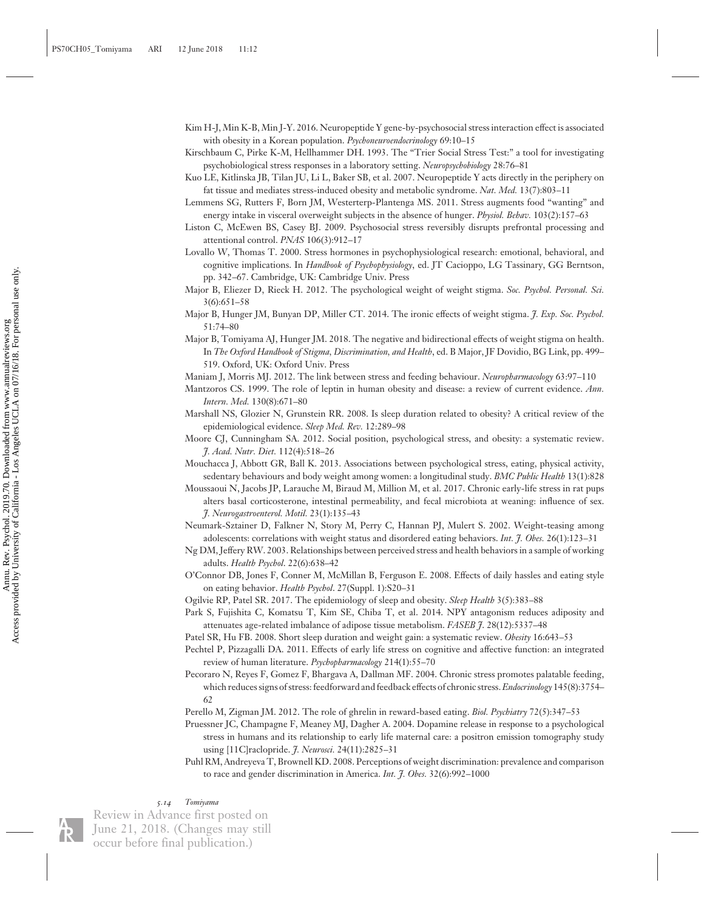- Kim H-J, Min K-B, Min J-Y. 2016. Neuropeptide Y gene-by-psychosocial stress interaction effect is associated with obesity in a Korean population. *Psychoneuroendocrinology* 69:10–15
- Kirschbaum C, Pirke K-M, Hellhammer DH. 1993. The "Trier Social Stress Test:" a tool for investigating psychobiological stress responses in a laboratory setting. *Neuropsychobiology* 28:76–81
- Kuo LE, Kitlinska JB, Tilan JU, Li L, Baker SB, et al. 2007. Neuropeptide Y acts directly in the periphery on fat tissue and mediates stress-induced obesity and metabolic syndrome. *Nat. Med.* 13(7):803–11
- Lemmens SG, Rutters F, Born JM, Westerterp-Plantenga MS. 2011. Stress augments food "wanting" and energy intake in visceral overweight subjects in the absence of hunger. *Physiol. Behav.* 103(2):157–63
- Liston C, McEwen BS, Casey BJ. 2009. Psychosocial stress reversibly disrupts prefrontal processing and attentional control. *PNAS* 106(3):912–17
- Lovallo W, Thomas T. 2000. Stress hormones in psychophysiological research: emotional, behavioral, and cognitive implications. In *Handbook of Psychophysiology*, ed. JT Cacioppo, LG Tassinary, GG Berntson, pp. 342–67. Cambridge, UK: Cambridge Univ. Press
- Major B, Eliezer D, Rieck H. 2012. The psychological weight of weight stigma. *Soc. Psychol. Personal. Sci.* 3(6):651–58
- Major B, Hunger JM, Bunyan DP, Miller CT. 2014. The ironic effects of weight stigma. *J. Exp. Soc. Psychol.* 51:74–80
- Major B, Tomiyama AJ, Hunger JM. 2018. The negative and bidirectional effects of weight stigma on health. In *The Oxford Handbook of Stigma, Discrimination, and Health*, ed. B Major, JF Dovidio, BG Link, pp. 499– 519. Oxford, UK: Oxford Univ. Press
- Maniam J, Morris MJ. 2012. The link between stress and feeding behaviour. *Neuropharmacology* 63:97–110
- Mantzoros CS. 1999. The role of leptin in human obesity and disease: a review of current evidence. *Ann. Intern. Med.* 130(8):671–80
- Marshall NS, Glozier N, Grunstein RR. 2008. Is sleep duration related to obesity? A critical review of the epidemiological evidence. *Sleep Med. Rev.* 12:289–98
- Moore CJ, Cunningham SA. 2012. Social position, psychological stress, and obesity: a systematic review. *J. Acad. Nutr. Diet.* 112(4):518–26
- Mouchacca J, Abbott GR, Ball K. 2013. Associations between psychological stress, eating, physical activity, sedentary behaviours and body weight among women: a longitudinal study. *BMC Public Health* 13(1):828
- Moussaoui N, Jacobs JP, Larauche M, Biraud M, Million M, et al. 2017. Chronic early-life stress in rat pups alters basal corticosterone, intestinal permeability, and fecal microbiota at weaning: influence of sex. *J. Neurogastroenterol. Motil.* 23(1):135–43
- Neumark-Sztainer D, Falkner N, Story M, Perry C, Hannan PJ, Mulert S. 2002. Weight-teasing among adolescents: correlations with weight status and disordered eating behaviors. *Int. J. Obes.* 26(1):123–31
- Ng DM, Jeffery RW. 2003. Relationships between perceived stress and health behaviors in a sample of working adults. *Health Psychol*. 22(6):638–42
- O'Connor DB, Jones F, Conner M, McMillan B, Ferguson E. 2008. Effects of daily hassles and eating style on eating behavior. *Health Psychol*. 27(Suppl. 1):S20–31
- Ogilvie RP, Patel SR. 2017. The epidemiology of sleep and obesity. *Sleep Health* 3(5):383–88
- Park S, Fujishita C, Komatsu T, Kim SE, Chiba T, et al. 2014. NPY antagonism reduces adiposity and attenuates age-related imbalance of adipose tissue metabolism. *FASEB J*. 28(12):5337–48
- Patel SR, Hu FB. 2008. Short sleep duration and weight gain: a systematic review. *Obesity* 16:643–53
- Pechtel P, Pizzagalli DA. 2011. Effects of early life stress on cognitive and affective function: an integrated review of human literature. *Psychopharmacology* 214(1):55–70
- Pecoraro N, Reyes F, Gomez F, Bhargava A, Dallman MF. 2004. Chronic stress promotes palatable feeding, which reduces signs of stress: feedforward and feedback effects of chronic stress.*Endocrinology* 145(8):3754– 62
- Perello M, Zigman JM. 2012. The role of ghrelin in reward-based eating. *Biol. Psychiatry* 72(5):347–53
- Pruessner JC, Champagne F, Meaney MJ, Dagher A. 2004. Dopamine release in response to a psychological stress in humans and its relationship to early life maternal care: a positron emission tomography study using [11C]raclopride. *J. Neurosci.* 24(11):2825–31
- Puhl RM, Andreyeva T, Brownell KD. 2008. Perceptions of weight discrimination: prevalence and comparison to race and gender discrimination in America. *Int. J. Obes.* 32(6):992–1000

#### *5.14 Tomiyama*

Review in Advance first posted on June 21, 2018. (Changes may still occur before final publication.)

 Access provided by University of California - Los Angeles UCLA on 07/16/18. For personal use only. Annu. Rev. Psychol. 2019.70. Downloaded from www.annualreviews.org<br>Access provided by University of California - Los Angeles UCLA on 07/16/18. For personal use only. Annu. Rev. Psychol. 2019.70. Downloaded from www.annualreviews.org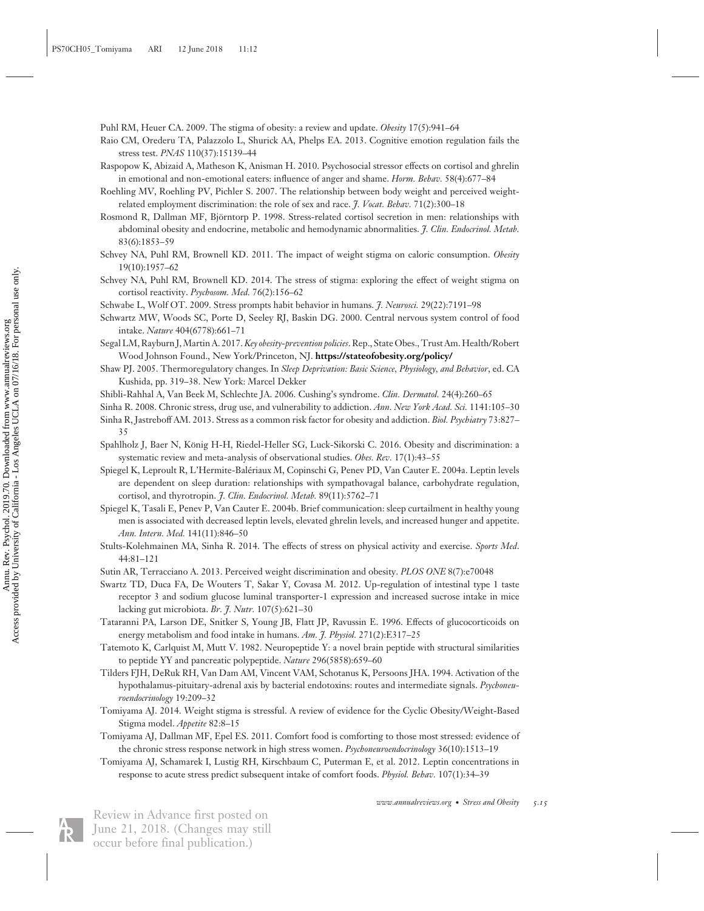Puhl RM, Heuer CA. 2009. The stigma of obesity: a review and update. *Obesity* 17(5):941–64

- Raio CM, Orederu TA, Palazzolo L, Shurick AA, Phelps EA. 2013. Cognitive emotion regulation fails the stress test. *PNAS* 110(37):15139–44
- Raspopow K, Abizaid A, Matheson K, Anisman H. 2010. Psychosocial stressor effects on cortisol and ghrelin in emotional and non-emotional eaters: influence of anger and shame. *Horm. Behav.* 58(4):677–84
- Roehling MV, Roehling PV, Pichler S. 2007. The relationship between body weight and perceived weightrelated employment discrimination: the role of sex and race. *J. Vocat. Behav.* 71(2):300–18
- Rosmond R, Dallman MF, Björntorp P. 1998. Stress-related cortisol secretion in men: relationships with abdominal obesity and endocrine, metabolic and hemodynamic abnormalities. *J. Clin. Endocrinol. Metab.* 83(6):1853–59
- Schvey NA, Puhl RM, Brownell KD. 2011. The impact of weight stigma on caloric consumption. *Obesity* 19(10):1957–62
- Schvey NA, Puhl RM, Brownell KD. 2014. The stress of stigma: exploring the effect of weight stigma on cortisol reactivity. *Psychosom. Med.* 76(2):156–62

Schwabe L, Wolf OT. 2009. Stress prompts habit behavior in humans. *J. Neurosci.* 29(22):7191–98

- Schwartz MW, Woods SC, Porte D, Seeley RJ, Baskin DG. 2000. Central nervous system control of food intake. *Nature* 404(6778):661–71
- Segal LM, Rayburn J,Martin A. 2017.*Key obesity-prevention policies*. Rep., State Obes., Trust Am. Health/Robert Wood Johnson Found., New York/Princeton, NJ. **<https://stateofobesity.org/policy/>**
- Shaw PJ. 2005. Thermoregulatory changes. In *Sleep Deprivation: Basic Science, Physiology, and Behavior*, ed. CA Kushida, pp. 319–38. New York: Marcel Dekker
- Shibli-Rahhal A, Van Beek M, Schlechte JA. 2006. Cushing's syndrome. *Clin. Dermatol.* 24(4):260–65
- Sinha R. 2008. Chronic stress, drug use, and vulnerability to addiction. *Ann. New York Acad. Sci.* 1141:105–30 Sinha R, Jastreboff AM. 2013. Stress as a common risk factor for obesity and addiction. *Biol. Psychiatry* 73:827–
- 35
- Spahlholz J, Baer N, Konig H-H, Riedel-Heller SG, Luck-Sikorski C. 2016. Obesity and discrimination: a ¨ systematic review and meta-analysis of observational studies. *Obes. Rev.* 17(1):43–55
- Spiegel K, Leproult R, L'Hermite-Baleriaux M, Copinschi G, Penev PD, Van Cauter E. 2004a. Leptin levels ´ are dependent on sleep duration: relationships with sympathovagal balance, carbohydrate regulation, cortisol, and thyrotropin. *J. Clin. Endocrinol. Metab.* 89(11):5762–71
- Spiegel K, Tasali E, Penev P, Van Cauter E. 2004b. Brief communication: sleep curtailment in healthy young men is associated with decreased leptin levels, elevated ghrelin levels, and increased hunger and appetite. *Ann. Intern. Med.* 141(11):846–50
- Stults-Kolehmainen MA, Sinha R. 2014. The effects of stress on physical activity and exercise. *Sports Med*. 44:81–121
- Sutin AR, Terracciano A. 2013. Perceived weight discrimination and obesity. *PLOS ONE* 8(7):e70048
- Swartz TD, Duca FA, De Wouters T, Sakar Y, Covasa M. 2012. Up-regulation of intestinal type 1 taste receptor 3 and sodium glucose luminal transporter-1 expression and increased sucrose intake in mice lacking gut microbiota. *Br. J. Nutr.* 107(5):621–30
- Tataranni PA, Larson DE, Snitker S, Young JB, Flatt JP, Ravussin E. 1996. Effects of glucocorticoids on energy metabolism and food intake in humans. *Am. J. Physiol.* 271(2):E317–25
- Tatemoto K, Carlquist M, Mutt V. 1982. Neuropeptide Y: a novel brain peptide with structural similarities to peptide YY and pancreatic polypeptide. *Nature* 296(5858):659–60
- Tilders FJH, DeRuk RH, Van Dam AM, Vincent VAM, Schotanus K, Persoons JHA. 1994. Activation of the hypothalamus-pituitary-adrenal axis by bacterial endotoxins: routes and intermediate signals. *Psychoneuroendocrinology* 19:209–32
- Tomiyama AJ. 2014. Weight stigma is stressful. A review of evidence for the Cyclic Obesity/Weight-Based Stigma model. *Appetite* 82:8–15
- Tomiyama AJ, Dallman MF, Epel ES. 2011. Comfort food is comforting to those most stressed: evidence of the chronic stress response network in high stress women. *Psychoneuroendocrinology* 36(10):1513–19
- Tomiyama AJ, Schamarek I, Lustig RH, Kirschbaum C, Puterman E, et al. 2012. Leptin concentrations in response to acute stress predict subsequent intake of comfort foods. *Physiol. Behav.* 107(1):34–39